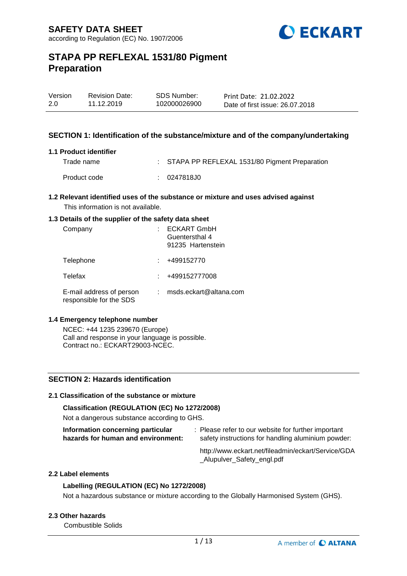

| Version | <b>Revision Date:</b> | SDS Number:  | Print Date: 21.02.2022          |
|---------|-----------------------|--------------|---------------------------------|
| 2.0     | 11.12.2019            | 102000026900 | Date of first issue: 26.07.2018 |
|         |                       |              |                                 |

## **SECTION 1: Identification of the substance/mixture and of the company/undertaking**

#### **1.1 Product identifier**

| Trade name   |             | : STAPA PP REFLEXAL 1531/80 Pigment Preparation |
|--------------|-------------|-------------------------------------------------|
| Product code | : 0247818J0 |                                                 |

## **1.2 Relevant identified uses of the substance or mixture and uses advised against**

This information is not available.

### **1.3 Details of the supplier of the safety data sheet**

| Company                                             | <b>ECKART GmbH</b><br>Guentersthal 4<br>91235 Hartenstein |
|-----------------------------------------------------|-----------------------------------------------------------|
| Telephone                                           | +499152770                                                |
| Telefax                                             | +499152777008                                             |
| E-mail address of person<br>responsible for the SDS | msds.eckart@altana.com                                    |

## **1.4 Emergency telephone number**

NCEC: +44 1235 239670 (Europe) Call and response in your language is possible. Contract no.: ECKART29003-NCEC.

## **SECTION 2: Hazards identification**

#### **2.1 Classification of the substance or mixture**

## **Classification (REGULATION (EC) No 1272/2008)**

Not a dangerous substance according to GHS.

| Information concerning particular  | : Please refer to our website for further important |
|------------------------------------|-----------------------------------------------------|
| hazards for human and environment: | safety instructions for handling aluminium powder:  |

http://www.eckart.net/fileadmin/eckart/Service/GDA \_Alupulver\_Safety\_engl.pdf

#### **2.2 Label elements**

## **Labelling (REGULATION (EC) No 1272/2008)**

Not a hazardous substance or mixture according to the Globally Harmonised System (GHS).

#### **2.3 Other hazards**

Combustible Solids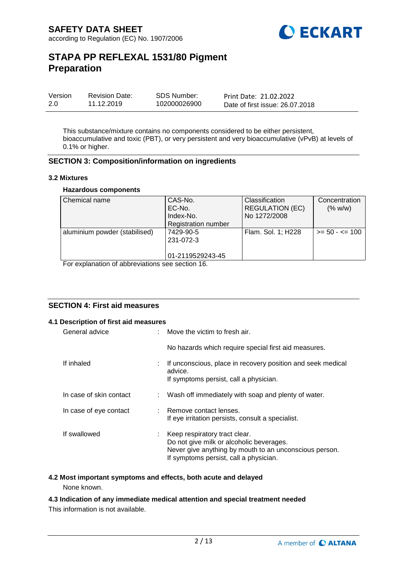

| Version | <b>Revision Date:</b> | <b>SDS Number:</b> | Print Date: 21.02.2022          |
|---------|-----------------------|--------------------|---------------------------------|
| 2.0     | 11.12.2019            | 102000026900       | Date of first issue: 26.07.2018 |

This substance/mixture contains no components considered to be either persistent, bioaccumulative and toxic (PBT), or very persistent and very bioaccumulative (vPvB) at levels of 0.1% or higher.

## **SECTION 3: Composition/information on ingredients**

#### **3.2 Mixtures**

#### **Hazardous components**

| Chemical name                 | CAS-No.                    | <b>Classification</b>  | Concentration     |
|-------------------------------|----------------------------|------------------------|-------------------|
|                               | EC-No.                     | <b>REGULATION (EC)</b> | (% w/w)           |
|                               | Index-No.                  | No 1272/2008           |                   |
|                               | <b>Registration number</b> |                        |                   |
| aluminium powder (stabilised) | 7429-90-5                  | Flam. Sol. 1; H228     | $>= 50 - 5 = 100$ |
|                               | 231-072-3                  |                        |                   |
|                               |                            |                        |                   |
|                               | 01-2119529243-45           |                        |                   |

For explanation of abbreviations see section 16.

## **SECTION 4: First aid measures**

## **4.1 Description of first aid measures**

| General advice          |    | : Move the victim to fresh air.                                                                                                                                               |
|-------------------------|----|-------------------------------------------------------------------------------------------------------------------------------------------------------------------------------|
|                         |    | No hazards which require special first aid measures.                                                                                                                          |
| If inhaled              |    | If unconscious, place in recovery position and seek medical<br>advice.<br>If symptoms persist, call a physician.                                                              |
| In case of skin contact | t. | Wash off immediately with soap and plenty of water.                                                                                                                           |
| In case of eye contact  |    | : Remove contact lenses.<br>If eye irritation persists, consult a specialist.                                                                                                 |
| If swallowed            | ÷. | Keep respiratory tract clear.<br>Do not give milk or alcoholic beverages.<br>Never give anything by mouth to an unconscious person.<br>If symptoms persist, call a physician. |

## **4.2 Most important symptoms and effects, both acute and delayed**

None known.

## **4.3 Indication of any immediate medical attention and special treatment needed**

This information is not available.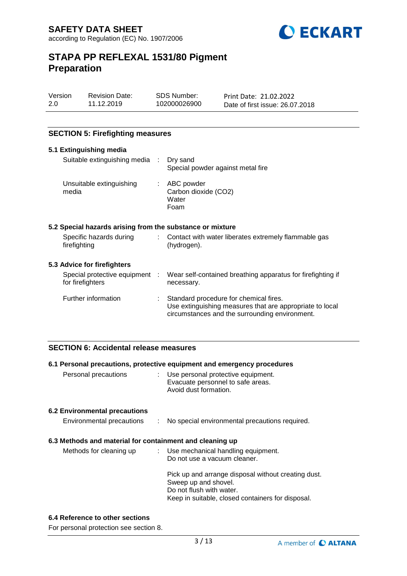

| Version | <b>Revision Da</b> |
|---------|--------------------|
| 2.0     | 11.12.2019         |

ate:

SDS Number: 102000026900

Print Date: 21.02.2022 Date of first issue: 26.07.2018

## **SECTION 5: Firefighting measures**

| 5.1 Extinguishing media                                   |    |                                                                                                                                                      |
|-----------------------------------------------------------|----|------------------------------------------------------------------------------------------------------------------------------------------------------|
| Suitable extinguishing media : Dry sand                   |    | Special powder against metal fire                                                                                                                    |
| Unsuitable extinguishing<br>media                         |    | : ABC powder<br>Carbon dioxide (CO2)<br>Water<br>Foam                                                                                                |
| 5.2 Special hazards arising from the substance or mixture |    |                                                                                                                                                      |
| Specific hazards during<br>firefighting                   | t. | Contact with water liberates extremely flammable gas<br>(hydrogen).                                                                                  |
| 5.3 Advice for firefighters                               |    |                                                                                                                                                      |
| Special protective equipment :<br>for firefighters        |    | Wear self-contained breathing apparatus for firefighting if<br>necessary.                                                                            |
| Further information                                       |    | Standard procedure for chemical fires.<br>Use extinguishing measures that are appropriate to local<br>circumstances and the surrounding environment. |

## **SECTION 6: Accidental release measures**

|                                                          | 6.1 Personal precautions, protective equipment and emergency procedures                                                                                      |
|----------------------------------------------------------|--------------------------------------------------------------------------------------------------------------------------------------------------------------|
| Personal precautions                                     | : Use personal protective equipment.<br>Evacuate personnel to safe areas.<br>Avoid dust formation.                                                           |
| <b>6.2 Environmental precautions</b>                     |                                                                                                                                                              |
| Environmental precautions                                | : No special environmental precautions required.                                                                                                             |
| 6.3 Methods and material for containment and cleaning up |                                                                                                                                                              |
| Methods for cleaning up                                  | $\therefore$ Use mechanical handling equipment.<br>Do not use a vacuum cleaner.                                                                              |
|                                                          | Pick up and arrange disposal without creating dust.<br>Sweep up and shovel.<br>Do not flush with water.<br>Keep in suitable, closed containers for disposal. |

## **6.4 Reference to other sections**

For personal protection see section 8.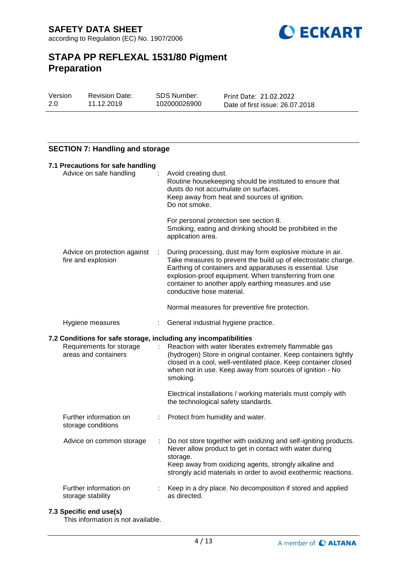

| Version | <b>Revision Date:</b> | SDS Number:  | Print Date: 21.02.2022          |
|---------|-----------------------|--------------|---------------------------------|
| 2.0     | 11.12.2019            | 102000026900 | Date of first issue: 26.07.2018 |

## **SECTION 7: Handling and storage**

| 7.1 Precautions for safe handling<br>Advice on safe handling                                                         |   | Avoid creating dust.<br>Routine housekeeping should be instituted to ensure that<br>dusts do not accumulate on surfaces.<br>Keep away from heat and sources of ignition.<br>Do not smoke.                                                                                                                                              |
|----------------------------------------------------------------------------------------------------------------------|---|----------------------------------------------------------------------------------------------------------------------------------------------------------------------------------------------------------------------------------------------------------------------------------------------------------------------------------------|
|                                                                                                                      |   | For personal protection see section 8.<br>Smoking, eating and drinking should be prohibited in the<br>application area.                                                                                                                                                                                                                |
| Advice on protection against<br>÷<br>fire and explosion                                                              |   | During processing, dust may form explosive mixture in air.<br>Take measures to prevent the build up of electrostatic charge.<br>Earthing of containers and apparatuses is essential. Use<br>explosion-proof equipment. When transferring from one<br>container to another apply earthing measures and use<br>conductive hose material. |
|                                                                                                                      |   | Normal measures for preventive fire protection.                                                                                                                                                                                                                                                                                        |
| Hygiene measures                                                                                                     | ÷ | General industrial hygiene practice.                                                                                                                                                                                                                                                                                                   |
|                                                                                                                      |   |                                                                                                                                                                                                                                                                                                                                        |
| 7.2 Conditions for safe storage, including any incompatibilities<br>Requirements for storage<br>areas and containers | ÷ | Reaction with water liberates extremely flammable gas<br>(hydrogen) Store in original container. Keep containers tightly<br>closed in a cool, well-ventilated place. Keep container closed<br>when not in use. Keep away from sources of ignition - No<br>smoking.                                                                     |
|                                                                                                                      |   | Electrical installations / working materials must comply with<br>the technological safety standards.                                                                                                                                                                                                                                   |
| Further information on<br>storage conditions                                                                         |   | Protect from humidity and water.                                                                                                                                                                                                                                                                                                       |
| Advice on common storage                                                                                             | ÷ | Do not store together with oxidizing and self-igniting products.<br>Never allow product to get in contact with water during<br>storage.<br>Keep away from oxidizing agents, strongly alkaline and<br>strongly acid materials in order to avoid exothermic reactions.                                                                   |

## **7.3 Specific end use(s)**

This information is not available.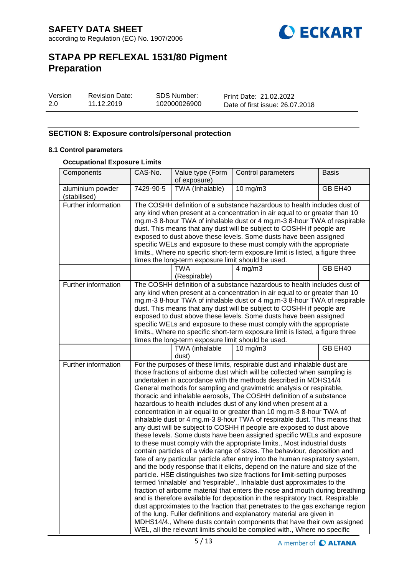

| Version | <b>Revision Date:</b> | <b>SDS Number:</b> | Print Date: 21.02.2022          |
|---------|-----------------------|--------------------|---------------------------------|
| -2.0    | 11.12.2019            | 102000026900       | Date of first issue: 26.07.2018 |

## **SECTION 8: Exposure controls/personal protection**

### **8.1 Control parameters**

## **Occupational Exposure Limits**

| Components                       | CAS-No.                                                                                                                                                                                                                                                                                                                                                                                                                                                                                                                                                                                                                                                                                                                                                                                                                                                                                                                                                                                                                                                                                                                                                                                                                                                                                                                                                                                                                                                                                                                                                                                                                                                                                                                   | Value type (Form<br>of exposure) | Control parameters | <b>Basis</b> |  |
|----------------------------------|---------------------------------------------------------------------------------------------------------------------------------------------------------------------------------------------------------------------------------------------------------------------------------------------------------------------------------------------------------------------------------------------------------------------------------------------------------------------------------------------------------------------------------------------------------------------------------------------------------------------------------------------------------------------------------------------------------------------------------------------------------------------------------------------------------------------------------------------------------------------------------------------------------------------------------------------------------------------------------------------------------------------------------------------------------------------------------------------------------------------------------------------------------------------------------------------------------------------------------------------------------------------------------------------------------------------------------------------------------------------------------------------------------------------------------------------------------------------------------------------------------------------------------------------------------------------------------------------------------------------------------------------------------------------------------------------------------------------------|----------------------------------|--------------------|--------------|--|
| aluminium powder<br>(stabilised) | TWA (Inhalable)<br>7429-90-5                                                                                                                                                                                                                                                                                                                                                                                                                                                                                                                                                                                                                                                                                                                                                                                                                                                                                                                                                                                                                                                                                                                                                                                                                                                                                                                                                                                                                                                                                                                                                                                                                                                                                              |                                  | $10$ mg/m $3$      | GB EH40      |  |
| <b>Further information</b>       | The COSHH definition of a substance hazardous to health includes dust of<br>any kind when present at a concentration in air equal to or greater than 10<br>mg.m-3 8-hour TWA of inhalable dust or 4 mg.m-3 8-hour TWA of respirable<br>dust. This means that any dust will be subject to COSHH if people are<br>exposed to dust above these levels. Some dusts have been assigned<br>specific WELs and exposure to these must comply with the appropriate<br>limits., Where no specific short-term exposure limit is listed, a figure three<br>times the long-term exposure limit should be used.                                                                                                                                                                                                                                                                                                                                                                                                                                                                                                                                                                                                                                                                                                                                                                                                                                                                                                                                                                                                                                                                                                                         |                                  |                    |              |  |
|                                  |                                                                                                                                                                                                                                                                                                                                                                                                                                                                                                                                                                                                                                                                                                                                                                                                                                                                                                                                                                                                                                                                                                                                                                                                                                                                                                                                                                                                                                                                                                                                                                                                                                                                                                                           | <b>TWA</b><br>(Respirable)       | $4$ mg/m $3$       | GB EH40      |  |
| Further information              | The COSHH definition of a substance hazardous to health includes dust of<br>any kind when present at a concentration in air equal to or greater than 10<br>mg.m-3 8-hour TWA of inhalable dust or 4 mg.m-3 8-hour TWA of respirable<br>dust. This means that any dust will be subject to COSHH if people are<br>exposed to dust above these levels. Some dusts have been assigned<br>specific WELs and exposure to these must comply with the appropriate<br>limits., Where no specific short-term exposure limit is listed, a figure three<br>times the long-term exposure limit should be used.                                                                                                                                                                                                                                                                                                                                                                                                                                                                                                                                                                                                                                                                                                                                                                                                                                                                                                                                                                                                                                                                                                                         |                                  |                    |              |  |
|                                  |                                                                                                                                                                                                                                                                                                                                                                                                                                                                                                                                                                                                                                                                                                                                                                                                                                                                                                                                                                                                                                                                                                                                                                                                                                                                                                                                                                                                                                                                                                                                                                                                                                                                                                                           | TWA (inhalable<br>dust)          | $10 \text{ mg/m}$  | GB EH40      |  |
| Further information              | For the purposes of these limits, respirable dust and inhalable dust are<br>those fractions of airborne dust which will be collected when sampling is<br>undertaken in accordance with the methods described in MDHS14/4<br>General methods for sampling and gravimetric analysis or respirable,<br>thoracic and inhalable aerosols, The COSHH definition of a substance<br>hazardous to health includes dust of any kind when present at a<br>concentration in air equal to or greater than 10 mg.m-3 8-hour TWA of<br>inhalable dust or 4 mg.m-3 8-hour TWA of respirable dust. This means that<br>any dust will be subject to COSHH if people are exposed to dust above<br>these levels. Some dusts have been assigned specific WELs and exposure<br>to these must comply with the appropriate limits., Most industrial dusts<br>contain particles of a wide range of sizes. The behaviour, deposition and<br>fate of any particular particle after entry into the human respiratory system,<br>and the body response that it elicits, depend on the nature and size of the<br>particle. HSE distinguishes two size fractions for limit-setting purposes<br>termed 'inhalable' and 'respirable'., Inhalable dust approximates to the<br>fraction of airborne material that enters the nose and mouth during breathing<br>and is therefore available for deposition in the respiratory tract. Respirable<br>dust approximates to the fraction that penetrates to the gas exchange region<br>of the lung. Fuller definitions and explanatory material are given in<br>MDHS14/4., Where dusts contain components that have their own assigned<br>WEL, all the relevant limits should be complied with., Where no specific |                                  |                    |              |  |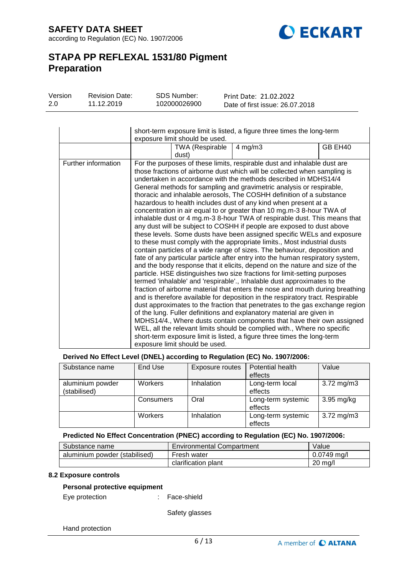

| Version | <b>Revision Date:</b> | SDS Number:  | Print Date: 21.02.2022          |
|---------|-----------------------|--------------|---------------------------------|
| 2.0     | 11.12.2019            | 102000026900 | Date of first issue: 26.07.2018 |

|                     | short-term exposure limit is listed, a figure three times the long-term<br>exposure limit should be used. |                                 |                                                                                                                                                                                                                                                                                                                                                                                                                                                                                                                                                                                                                                                                                                                                                                                                                                                                                                                                                                                                                                                                                                                                                                                                                                                                                                                                                                                                                                                                                                                                                                                                                                                                                                                                                                                                      |         |  |
|---------------------|-----------------------------------------------------------------------------------------------------------|---------------------------------|------------------------------------------------------------------------------------------------------------------------------------------------------------------------------------------------------------------------------------------------------------------------------------------------------------------------------------------------------------------------------------------------------------------------------------------------------------------------------------------------------------------------------------------------------------------------------------------------------------------------------------------------------------------------------------------------------------------------------------------------------------------------------------------------------------------------------------------------------------------------------------------------------------------------------------------------------------------------------------------------------------------------------------------------------------------------------------------------------------------------------------------------------------------------------------------------------------------------------------------------------------------------------------------------------------------------------------------------------------------------------------------------------------------------------------------------------------------------------------------------------------------------------------------------------------------------------------------------------------------------------------------------------------------------------------------------------------------------------------------------------------------------------------------------------|---------|--|
|                     |                                                                                                           | <b>TWA (Respirable</b><br>dust) | $4$ mg/m $3$                                                                                                                                                                                                                                                                                                                                                                                                                                                                                                                                                                                                                                                                                                                                                                                                                                                                                                                                                                                                                                                                                                                                                                                                                                                                                                                                                                                                                                                                                                                                                                                                                                                                                                                                                                                         | GB EH40 |  |
| Further information |                                                                                                           | exposure limit should be used.  | For the purposes of these limits, respirable dust and inhalable dust are<br>those fractions of airborne dust which will be collected when sampling is<br>undertaken in accordance with the methods described in MDHS14/4<br>General methods for sampling and gravimetric analysis or respirable,<br>thoracic and inhalable aerosols, The COSHH definition of a substance<br>hazardous to health includes dust of any kind when present at a<br>concentration in air equal to or greater than 10 mg.m-3 8-hour TWA of<br>inhalable dust or 4 mg.m-3 8-hour TWA of respirable dust. This means that<br>any dust will be subject to COSHH if people are exposed to dust above<br>these levels. Some dusts have been assigned specific WELs and exposure<br>to these must comply with the appropriate limits., Most industrial dusts<br>contain particles of a wide range of sizes. The behaviour, deposition and<br>fate of any particular particle after entry into the human respiratory system,<br>and the body response that it elicits, depend on the nature and size of the<br>particle. HSE distinguishes two size fractions for limit-setting purposes<br>termed 'inhalable' and 'respirable'., Inhalable dust approximates to the<br>fraction of airborne material that enters the nose and mouth during breathing<br>and is therefore available for deposition in the respiratory tract. Respirable<br>dust approximates to the fraction that penetrates to the gas exchange region<br>of the lung. Fuller definitions and explanatory material are given in<br>MDHS14/4., Where dusts contain components that have their own assigned<br>WEL, all the relevant limits should be complied with., Where no specific<br>short-term exposure limit is listed, a figure three times the long-term |         |  |

### **Derived No Effect Level (DNEL) according to Regulation (EC) No. 1907/2006:**

| Substance name                   | End Use   | Exposure routes | Potential health<br>effects   | Value                   |
|----------------------------------|-----------|-----------------|-------------------------------|-------------------------|
| aluminium powder<br>(stabilised) | Workers   | Inhalation      | Long-term local<br>effects    | $3.72 \,\mathrm{mg/m3}$ |
|                                  | Consumers | Oral            | Long-term systemic<br>effects | $3.95$ mg/kg            |
|                                  | Workers   | Inhalation      | Long-term systemic<br>effects | $3.72 \,\mathrm{mg/m3}$ |

#### **Predicted No Effect Concentration (PNEC) according to Regulation (EC) No. 1907/2006:**

| Substance name                | <b>Environmental Compartment</b> | Value             |
|-------------------------------|----------------------------------|-------------------|
| aluminium powder (stabilised) | Fresh water                      | $0.0749$ ma/l     |
|                               | clarification plant              | $20 \text{ ma/l}$ |

## **8.2 Exposure controls**

#### **Personal protective equipment**

| Eye protection |  |
|----------------|--|

Face-shield

Safety glasses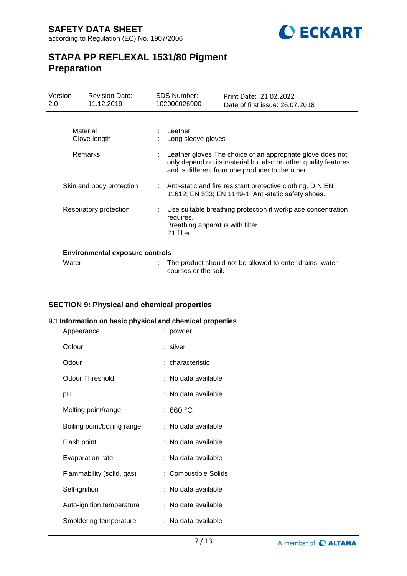

| Version<br>2.0 | <b>Revision Date:</b><br>11.12.2019    |  | <b>SDS Number:</b><br>102000026900                                                                                                                                               | Print Date: 21.02.2022<br>Date of first issue: 26.07.2018                                                           |
|----------------|----------------------------------------|--|----------------------------------------------------------------------------------------------------------------------------------------------------------------------------------|---------------------------------------------------------------------------------------------------------------------|
|                |                                        |  |                                                                                                                                                                                  |                                                                                                                     |
|                | Material<br>Glove length               |  | : Leather<br>Long sleeve gloves                                                                                                                                                  |                                                                                                                     |
|                | Remarks                                |  | Leather gloves The choice of an appropriate glove does not<br>only depend on its material but also on other quality features<br>and is different from one producer to the other. |                                                                                                                     |
|                | Skin and body protection               |  |                                                                                                                                                                                  | : Anti-static and fire resistant protective clothing. DIN EN<br>11612; EN 533; EN 1149-1. Anti-static safety shoes. |
|                | Respiratory protection                 |  | Use suitable breathing protection if workplace concentration<br>requires.<br>Breathing apparatus with filter.<br>P1 filter                                                       |                                                                                                                     |
|                | <b>Environmental exposure controls</b> |  |                                                                                                                                                                                  |                                                                                                                     |
|                | Water                                  |  | courses or the soil.                                                                                                                                                             | The product should not be allowed to enter drains, water                                                            |

## **SECTION 9: Physical and chemical properties**

## **9.1 Information on basic physical and chemical properties**

| Appearance                  | : powder             |
|-----------------------------|----------------------|
| Colour                      | : silver             |
| Odour                       | : characteristic     |
| <b>Odour Threshold</b>      | : No data available  |
| рH                          | : No data available  |
| Melting point/range         | : 660 $^{\circ}$ C   |
| Boiling point/boiling range | : No data available  |
| Flash point                 | : No data available  |
| Evaporation rate            | : No data available  |
| Flammability (solid, gas)   | : Combustible Solids |
| Self-ignition               | : No data available  |
| Auto-ignition temperature   | : No data available  |
| Smoldering temperature      | : No data available  |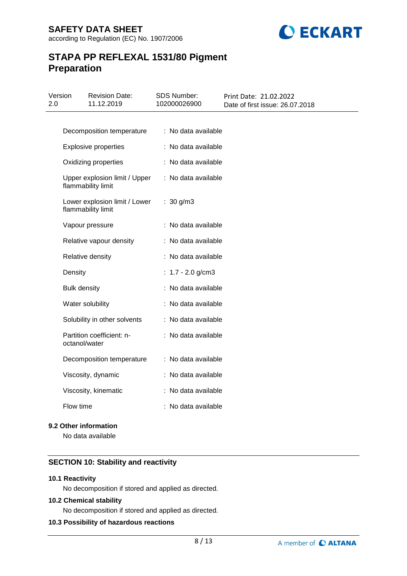

| Version<br>2.0 | <b>Revision Date:</b><br>11.12.2019                 | <b>SDS Number:</b><br>102000026900 | Print Date: 21.02.2022<br>Date of first issue: 26.07.2018 |
|----------------|-----------------------------------------------------|------------------------------------|-----------------------------------------------------------|
|                |                                                     |                                    |                                                           |
|                | Decomposition temperature                           | : No data available                |                                                           |
|                | <b>Explosive properties</b>                         | : No data available                |                                                           |
|                | Oxidizing properties                                | : No data available                |                                                           |
|                | Upper explosion limit / Upper<br>flammability limit | : No data available                |                                                           |
|                | Lower explosion limit / Lower<br>flammability limit | : $30 g/m3$                        |                                                           |
|                | Vapour pressure                                     | : No data available                |                                                           |
|                | Relative vapour density                             | : No data available                |                                                           |
|                | Relative density                                    | : No data available                |                                                           |
| Density        |                                                     | : $1.7 - 2.0$ g/cm3                |                                                           |
|                | <b>Bulk density</b>                                 | : No data available                |                                                           |
|                | Water solubility                                    | : No data available                |                                                           |
|                | Solubility in other solvents                        | : No data available                |                                                           |
|                | Partition coefficient: n-<br>octanol/water          | : No data available                |                                                           |
|                | Decomposition temperature                           | : No data available                |                                                           |
|                | Viscosity, dynamic                                  | : No data available                |                                                           |
|                | Viscosity, kinematic                                | : No data available                |                                                           |
|                | Flow time                                           | : No data available                |                                                           |

## **9.2 Other information**

No data available

## **SECTION 10: Stability and reactivity**

## **10.1 Reactivity**

No decomposition if stored and applied as directed.

## **10.2 Chemical stability**

No decomposition if stored and applied as directed.

## **10.3 Possibility of hazardous reactions**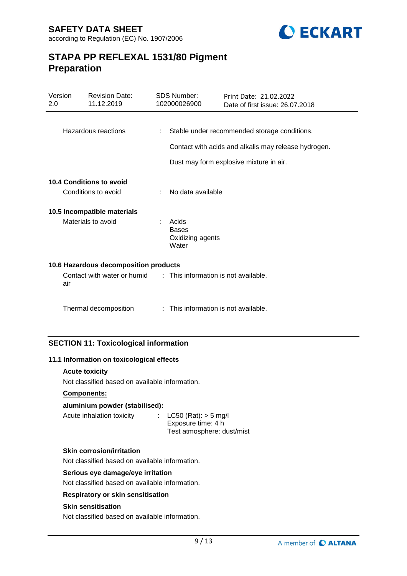

| Version<br>2.0              |     | <b>Revision Date:</b><br>11.12.2019   |   | <b>SDS Number:</b><br>102000026900                 | Print Date: 21.02.2022<br>Date of first issue: 26.07.2018 |
|-----------------------------|-----|---------------------------------------|---|----------------------------------------------------|-----------------------------------------------------------|
|                             |     |                                       |   |                                                    |                                                           |
|                             |     | Hazardous reactions                   |   |                                                    | Stable under recommended storage conditions.              |
|                             |     |                                       |   |                                                    | Contact with acids and alkalis may release hydrogen.      |
|                             |     |                                       |   |                                                    | Dust may form explosive mixture in air.                   |
|                             |     | <b>10.4 Conditions to avoid</b>       |   |                                                    |                                                           |
|                             |     | Conditions to avoid                   |   | No data available                                  |                                                           |
| 10.5 Incompatible materials |     |                                       |   |                                                    |                                                           |
|                             |     | Materials to avoid                    |   | Acids<br><b>Bases</b><br>Oxidizing agents<br>Water |                                                           |
|                             |     | 10.6 Hazardous decomposition products |   |                                                    |                                                           |
|                             | air | Contact with water or humid           |   | : This information is not available.               |                                                           |
|                             |     | Thermal decomposition                 | ÷ | This information is not available.                 |                                                           |
|                             |     |                                       |   |                                                    |                                                           |

## **SECTION 11: Toxicological information**

## **11.1 Information on toxicological effects**

## **Acute toxicity**

Not classified based on available information.

## **Components:**

## **aluminium powder (stabilised):**

| Acute inhalation toxicity | : $LC50$ (Rat): $> 5$ mg/l |
|---------------------------|----------------------------|
|                           | Exposure time: 4 h         |
|                           | Test atmosphere: dust/mist |

## **Skin corrosion/irritation**

Not classified based on available information.

## **Serious eye damage/eye irritation**

Not classified based on available information.

## **Respiratory or skin sensitisation**

## **Skin sensitisation**

Not classified based on available information.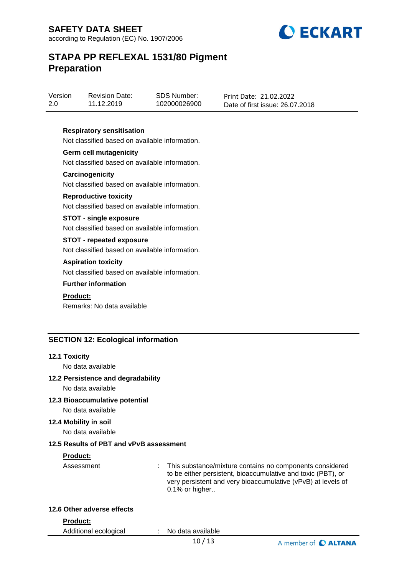**SAFETY DATA SHEET**





## **STAPA PP REFLEXAL 1531/80 Pigment Preparation**

| Version | <b>Revision Date:</b> | SDS Number:  | Print Date: 21.02.2022          |
|---------|-----------------------|--------------|---------------------------------|
| 2.0     | 11.12.2019            | 102000026900 | Date of first issue: 26.07.2018 |

## **Respiratory sensitisation**

Not classified based on available information.

#### **Germ cell mutagenicity**

Not classified based on available information.

#### **Carcinogenicity**

Not classified based on available information.

#### **Reproductive toxicity**

Not classified based on available information.

#### **STOT - single exposure**

Not classified based on available information.

### **STOT - repeated exposure**

Not classified based on available information.

#### **Aspiration toxicity**

Not classified based on available information.

### **Further information**

## **Product:**

Remarks: No data available

## **SECTION 12: Ecological information**

#### **12.1 Toxicity**

No data available

#### **12.2 Persistence and degradability**

No data available

## **12.3 Bioaccumulative potential**

No data available

### **12.4 Mobility in soil**

No data available

#### **12.5 Results of PBT and vPvB assessment**

### **Product:**

Assessment : This substance/mixture contains no components considered to be either persistent, bioaccumulative and toxic (PBT), or very persistent and very bioaccumulative (vPvB) at levels of 0.1% or higher..

#### **12.6 Other adverse effects**

**Product:**

Additional ecological : No data available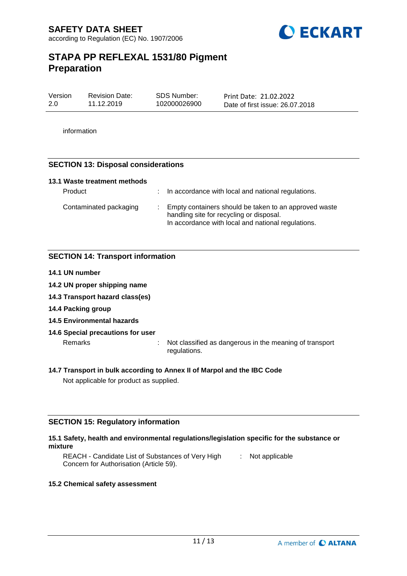

| Version | <b>Revision Date:</b> | SDS Number:  | Print Date: 21.02.2022          |
|---------|-----------------------|--------------|---------------------------------|
| 2.0     | 11.12.2019            | 102000026900 | Date of first issue: 26.07.2018 |

information

## **SECTION 13: Disposal considerations**

| 13.1 Waste treatment methods |                                                                                                                                                         |
|------------------------------|---------------------------------------------------------------------------------------------------------------------------------------------------------|
| Product                      | : In accordance with local and national regulations.                                                                                                    |
| Contaminated packaging       | Empty containers should be taken to an approved waste<br>handling site for recycling or disposal.<br>In accordance with local and national regulations. |

## **SECTION 14: Transport information**

- **14.1 UN number**
- **14.2 UN proper shipping name**
- **14.3 Transport hazard class(es)**
- **14.4 Packing group**
- **14.5 Environmental hazards**
- **14.6 Special precautions for user**

Remarks : Not classified as dangerous in the meaning of transport regulations.

**14.7 Transport in bulk according to Annex II of Marpol and the IBC Code** Not applicable for product as supplied.

## **SECTION 15: Regulatory information**

## **15.1 Safety, health and environmental regulations/legislation specific for the substance or mixture**

REACH - Candidate List of Substances of Very High Concern for Authorisation (Article 59). : Not applicable

## **15.2 Chemical safety assessment**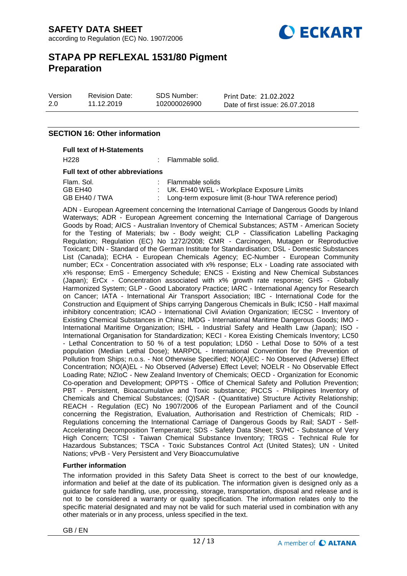

Version 2.0

Revision Date: 11.12.2019

SDS Number: 102000026900 Print Date: 21.02.2022 Date of first issue: 26.07.2018

## **SECTION 16: Other information**

#### **Full text of H-Statements**

H<sub>228</sub> : Flammable solid.

#### **Full text of other abbreviations**

| Flam. Sol.    | : Flammable solids                                       |
|---------------|----------------------------------------------------------|
| GB EH40       | : UK. EH40 WEL - Workplace Exposure Limits               |
| GB EH40 / TWA | : Long-term exposure limit (8-hour TWA reference period) |

ADN - European Agreement concerning the International Carriage of Dangerous Goods by Inland Waterways; ADR - European Agreement concerning the International Carriage of Dangerous Goods by Road; AICS - Australian Inventory of Chemical Substances; ASTM - American Society for the Testing of Materials; bw - Body weight; CLP - Classification Labelling Packaging Regulation; Regulation (EC) No 1272/2008; CMR - Carcinogen, Mutagen or Reproductive Toxicant; DIN - Standard of the German Institute for Standardisation; DSL - Domestic Substances List (Canada); ECHA - European Chemicals Agency; EC-Number - European Community number; ECx - Concentration associated with x% response; ELx - Loading rate associated with x% response; EmS - Emergency Schedule; ENCS - Existing and New Chemical Substances (Japan); ErCx - Concentration associated with x% growth rate response; GHS - Globally Harmonized System; GLP - Good Laboratory Practice; IARC - International Agency for Research on Cancer; IATA - International Air Transport Association; IBC - International Code for the Construction and Equipment of Ships carrying Dangerous Chemicals in Bulk; IC50 - Half maximal inhibitory concentration; ICAO - International Civil Aviation Organization; IECSC - Inventory of Existing Chemical Substances in China; IMDG - International Maritime Dangerous Goods; IMO - International Maritime Organization; ISHL - Industrial Safety and Health Law (Japan); ISO - International Organisation for Standardization; KECI - Korea Existing Chemicals Inventory; LC50 - Lethal Concentration to 50 % of a test population; LD50 - Lethal Dose to 50% of a test population (Median Lethal Dose); MARPOL - International Convention for the Prevention of Pollution from Ships; n.o.s. - Not Otherwise Specified; NO(A)EC - No Observed (Adverse) Effect Concentration; NO(A)EL - No Observed (Adverse) Effect Level; NOELR - No Observable Effect Loading Rate; NZIoC - New Zealand Inventory of Chemicals; OECD - Organization for Economic Co-operation and Development; OPPTS - Office of Chemical Safety and Pollution Prevention; PBT - Persistent, Bioaccumulative and Toxic substance; PICCS - Philippines Inventory of Chemicals and Chemical Substances; (Q)SAR - (Quantitative) Structure Activity Relationship; REACH - Regulation (EC) No 1907/2006 of the European Parliament and of the Council concerning the Registration, Evaluation, Authorisation and Restriction of Chemicals; RID - Regulations concerning the International Carriage of Dangerous Goods by Rail; SADT - Self-Accelerating Decomposition Temperature; SDS - Safety Data Sheet; SVHC - Substance of Very High Concern; TCSI - Taiwan Chemical Substance Inventory; TRGS - Technical Rule for Hazardous Substances; TSCA - Toxic Substances Control Act (United States); UN - United Nations; vPvB - Very Persistent and Very Bioaccumulative

## **Further information**

The information provided in this Safety Data Sheet is correct to the best of our knowledge, information and belief at the date of its publication. The information given is designed only as a guidance for safe handling, use, processing, storage, transportation, disposal and release and is not to be considered a warranty or quality specification. The information relates only to the specific material designated and may not be valid for such material used in combination with any other materials or in any process, unless specified in the text.